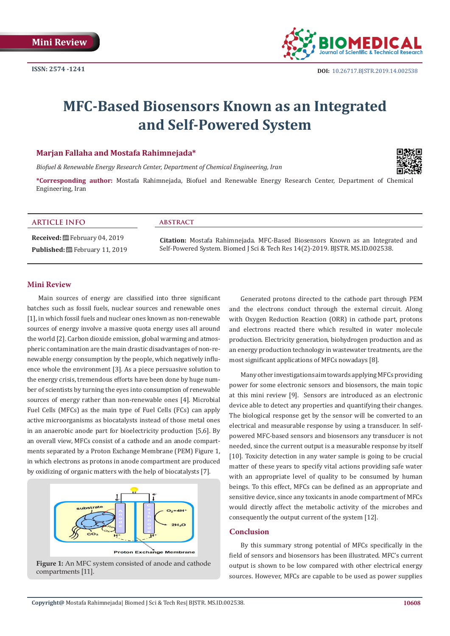

# **MFC-Based Biosensors Known as an Integrated and Self-Powered System**

### **Marjan Fallaha and Mostafa Rahimnejada\***

*Biofuel & Renewable Energy Research Center, Department of Chemical Engineering, Iran*



**\*Corresponding author:** Mostafa Rahimnejada, Biofuel and Renewable Energy Research Center, Department of Chemical Engineering, Iran

#### **ARTICLE INFO abstract**

**Received:** February 04, 2019 Published: **曲** February 11, 2019

**Citation:** Mostafa Rahimnejada. MFC-Based Biosensors Known as an Integrated and Self-Powered System. Biomed J Sci & Tech Res 14(2)-2019. BJSTR. MS.ID.002538.

### **Mini Review**

Main sources of energy are classified into three significant batches such as fossil fuels, nuclear sources and renewable ones [1], in which fossil fuels and nuclear ones known as non-renewable sources of energy involve a massive quota energy uses all around the world [2]. Carbon dioxide emission, global warming and atmospheric contamination are the main drastic disadvantages of non-renewable energy consumption by the people, which negatively influence whole the environment [3]. As a piece persuasive solution to the energy crisis, tremendous efforts have been done by huge number of scientists by turning the eyes into consumption of renewable sources of energy rather than non-renewable ones [4]. Microbial Fuel Cells (MFCs) as the main type of Fuel Cells (FCs) can apply active microorganisms as biocatalysts instead of those metal ones in an anaerobic anode part for bioelectricity production [5,6]. By an overall view, MFCs consist of a cathode and an anode compartments separated by a Proton Exchange Membrane (PEM) Figure 1, in which electrons as protons in anode compartment are produced by oxidizing of organic matters with the help of biocatalysts [7].



**Figure 1:** An MFC system consisted of anode and cathode compartments [11].

Generated protons directed to the cathode part through PEM and the electrons conduct through the external circuit. Along with Oxygen Reduction Reaction (ORR) in cathode part, protons and electrons reacted there which resulted in water molecule production. Electricity generation, biohydrogen production and as an energy production technology in wastewater treatments, are the most significant applications of MFCs nowadays [8].

Many other investigations aim towards applying MFCs providing power for some electronic sensors and biosensors, the main topic at this mini review [9]. Sensors are introduced as an electronic device able to detect any properties and quantifying their changes. The biological response get by the sensor will be converted to an electrical and measurable response by using a transducer. In selfpowered MFC-based sensors and biosensors any transducer is not needed, since the current output is a measurable response by itself [10]. Toxicity detection in any water sample is going to be crucial matter of these years to specify vital actions providing safe water with an appropriate level of quality to be consumed by human beings. To this effect, MFCs can be defined as an appropriate and sensitive device, since any toxicants in anode compartment of MFCs would directly affect the metabolic activity of the microbes and consequently the output current of the system [12].

### **Conclusion**

By this summary strong potential of MFCs specifically in the field of sensors and biosensors has been illustrated. MFC's current output is shown to be low compared with other electrical energy sources. However, MFCs are capable to be used as power supplies